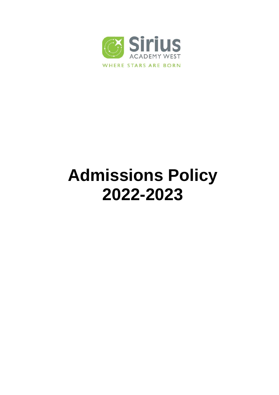

# **Admissions Policy 2022-2023**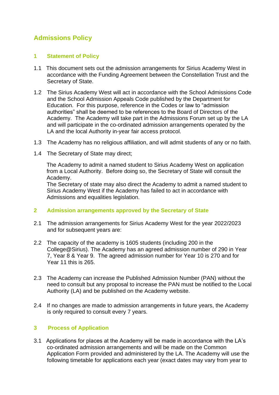## **Admissions Policy**

## **1 Statement of Policy**

- 1.1 This document sets out the admission arrangements for Sirius Academy West in accordance with the Funding Agreement between the Constellation Trust and the Secretary of State.
- 1.2 The Sirius Academy West will act in accordance with the School Admissions Code and the School Admission Appeals Code published by the Department for Education. For this purpose, reference in the Codes or law to "admission authorities" shall be deemed to be references to the Board of Directors of the Academy. The Academy will take part in the Admissions Forum set up by the LA and will participate in the co-ordinated admission arrangements operated by the LA and the local Authority in-year fair access protocol.
- 1.3 The Academy has no religious affiliation, and will admit students of any or no faith.
- 1.4 The Secretary of State may direct;

The Academy to admit a named student to Sirius Academy West on application from a Local Authority. Before doing so, the Secretary of State will consult the Academy.

The Secretary of state may also direct the Academy to admit a named student to Sirius Academy West if the Academy has failed to act in accordance with Admissions and equalities legislation.

## **2 Admission arrangements approved by the Secretary of State**

- 2.1 The admission arrangements for Sirius Academy West for the year 2022/2023 and for subsequent years are:
- 2.2 The capacity of the academy is 1605 students (including 200 in the College@Sirius). The Academy has an agreed admission number of 290 in Year 7, Year 8 & Year 9. The agreed admission number for Year 10 is 270 and for Year 11 this is 265.
- 2.3 The Academy can increase the Published Admission Number (PAN) without the need to consult but any proposal to increase the PAN must be notified to the Local Authority (LA) and be published on the Academy website.
- 2.4 If no changes are made to admission arrangements in future years, the Academy is only required to consult every 7 years.

## **3 Process of Application**

3.1 Applications for places at the Academy will be made in accordance with the LA's co-ordinated admission arrangements and will be made on the Common Application Form provided and administered by the LA. The Academy will use the following timetable for applications each year (exact dates may vary from year to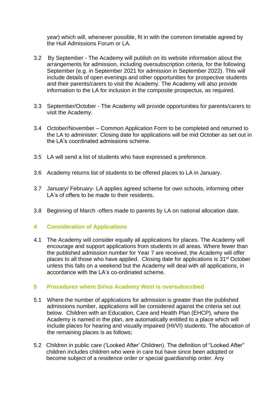year) which will, whenever possible, fit in with the common timetable agreed by the Hull Admissions Forum or LA.

- 3.2 By September The Academy will publish on its website information about the arrangements for admission, including oversubscription criteria, for the following September (e.g. in September 2021 for admission in September 2022). This will include details of open evenings and other opportunities for prospective students and their parents/carers to visit the Academy. The Academy will also provide information to the LA for inclusion in the composite prospectus, as required.
- 3.3 September/October The Academy will provide opportunities for parents/carers to visit the Academy.
- 3.4 October/November Common Application Form to be completed and returned to the LA to administer. Closing date for applications will be mid October as set out in the LA's coordinated admissions scheme.
- 3.5 LA will send a list of students who have expressed a preference.
- 3.6 Academy returns list of students to be offered places to LA in January.
- 3.7 January/ February- LA applies agreed scheme for own schools, informing other LA's of offers to be made to their residents.
- 3.8 Beginning of March -offers made to parents by LA on national allocation date.

## **4 Consideration of Applications**

4.1 The Academy will consider equally all applications for places. The Academy will encourage and support applications from students in all areas. Where fewer than the published admission number for Year 7 are received, the Academy will offer places to all those who have applied. Closing date for applications is 31st October unless this falls on a weekend but the Academy will deal with all applications, in accordance with the LA's co-ordinated scheme.

#### **5 Procedures where Sirius Academy West is oversubscribed**

- 5.1 Where the number of applications for admission is greater than the published admissions number, applications will be considered against the criteria set out below. Children with an Education, Care and Health Plan (EHCP), where the Academy is named in the plan, are automatically entitled to a place which will include places for hearing and visually impaired (HI/VI) students. The allocation of the remaining places is as follows;
- 5.2 Children in public care ('Looked After' Children). The definition of "Looked After" children includes children who were in care but have since been adopted or become subject of a residence order or special guardianship order. Any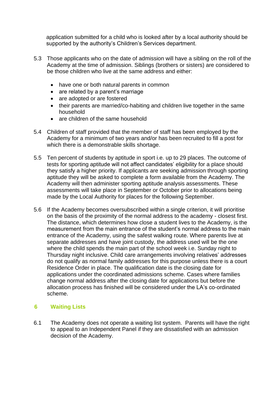application submitted for a child who is looked after by a local authority should be supported by the authority's Children's Services department.

- 5.3 Those applicants who on the date of admission will have a sibling on the roll of the Academy at the time of admission. Siblings (brothers or sisters) are considered to be those children who live at the same address and either:
	- have one or both natural parents in common
	- are related by a parent's marriage
	- are adopted or are fostered
	- their parents are married/co-habiting and children live together in the same household
	- are children of the same household
- 5.4 Children of staff provided that the member of staff has been employed by the Academy for a minimum of two years and/or has been recruited to fill a post for which there is a demonstrable skills shortage.
- 5.5 Ten percent of students by aptitude in sport i.e. up to 29 places. The outcome of tests for sporting aptitude will not affect candidates' eligibility for a place should they satisfy a higher priority. If applicants are seeking admission through sporting aptitude they will be asked to complete a form available from the Academy. The Academy will then administer sporting aptitude analysis assessments. These assessments will take place in September or October prior to allocations being made by the Local Authority for places for the following September.
- 5.6 If the Academy becomes oversubscribed within a single criterion, it will prioritise on the basis of the proximity of the normal address to the academy - closest first. The distance, which determines how close a student lives to the Academy, is the measurement from the main entrance of the student's normal address to the main entrance of the Academy, using the safest walking route. Where parents live at separate addresses and have joint custody, the address used will be the one where the child spends the main part of the school week i.e. Sunday night to Thursday night inclusive. Child care arrangements involving relatives' addresses do not qualify as normal family addresses for this purpose unless there is a court Residence Order in place. The qualification date is the closing date for applications under the coordinated admissions scheme. Cases where families change normal address after the closing date for applications but before the allocation process has finished will be considered under the LA's co-ordinated scheme.

## **6 Waiting Lists**

6.1 The Academy does not operate a waiting list system. Parents will have the right to appeal to an Independent Panel if they are dissatisfied with an admission decision of the Academy.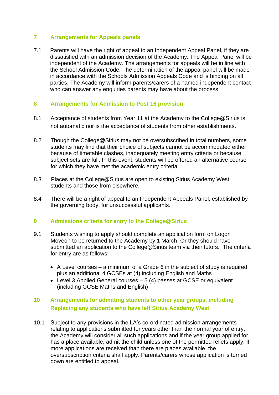## **7 Arrangements for Appeals panels**

7.1 Parents will have the right of appeal to an Independent Appeal Panel, if they are dissatisfied with an admission decision of the Academy. The Appeal Panel will be independent of the Academy. The arrangements for appeals will be in line with the School Admission Code. The determination of the appeal panel will be made in accordance with the Schools Admission Appeals Code and is binding on all parties. The Academy will inform parents/carers of a named independent contact who can answer any enquiries parents may have about the process.

## **8 Arrangements for Admission to Post 16 provision**

- 8.1 Acceptance of students from Year 11 at the Academy to the College@Sirius is not automatic nor is the acceptance of students from other establishments.
- 8.2 Though the College@Sirius may not be oversubscribed in total numbers, some students may find that their choice of subjects cannot be accommodated either because of timetable clashes, inadequately meeting entry criteria or because subject sets are full. In this event, students will be offered an alternative course for which they have met the academic entry criteria.
- 8.3 Places at the College@Sirius are open to existing Sirius Academy West students and those from elsewhere.
- 8.4 There will be a right of appeal to an Independent Appeals Panel, established by the governing body, for unsuccessful applicants.

## **9 Admissions criteria for entry to the College@Sirius**

- 9.1 Students wishing to apply should complete an application form on Logon Moveon to be returned to the Academy by 1 March. Or they should have submitted an application to the College@Sirius team via their tutors. The criteria for entry are as follows:
	- A Level courses a minimum of a Grade 6 in the subject of study is required plus an additional 4 GCSEs at (4) including English and Maths
	- $\bullet$  Level 3 Applied General courses  $-5(4)$  passes at GCSE or equivalent (including GCSE Maths and English)

## **10 Arrangements for admitting students to other year groups, including Replacing any students who have left Sirius Academy West**

10.1 Subject to any provisions in the LA's co-ordinated admission arrangements relating to applications submitted for years other than the normal year of entry, the Academy will consider all such applications and if the year group applied for has a place available, admit the child unless one of the permitted reliefs apply. If more applications are received than there are places available, the oversubscription criteria shall apply. Parents/carers whose application is turned down are entitled to appeal.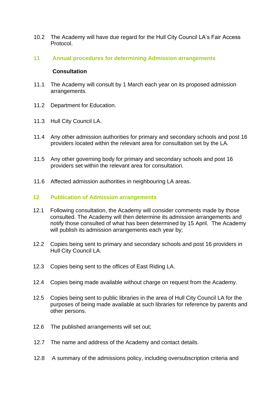- 10.2 The Academy will have due regard for the Hull City Council LA's Fair Access Protocol.
- **11 Annual procedures for determining Admission arrangements**

#### **Consultation**

- 11.1 The Academy will consult by 1 March each year on its proposed admission arrangements.
- 11.2 Department for Education.
- 11.3 Hull City Council LA.
- 11.4 Any other admission authorities for primary and secondary schools and post 16 providers located within the relevant area for consultation set by the LA.
- 11.5 Any other governing body for primary and secondary schools and post 16 providers set within the relevant area for consultation.
- 11.6 Affected admission authorities in neighbouring LA areas.

#### **12 Publication of Admission arrangements**

- 12.1 Following consultation, the Academy will consider comments made by those consulted. The Academy will then determine its admission arrangements and notify those consulted of what has been determined by 15 April. The Academy will publish its admission arrangements each year by;
- 12.2 Copies being sent to primary and secondary schools and post 16 providers in Hull City Council LA.
- 12.3 Copies being sent to the offices of East Riding LA.
- 12.4 Copies being made available without charge on request from the Academy.
- 12.5 Copies being sent to public libraries in the area of Hull City Council LA for the purposes of being made available at such libraries for reference by parents and other persons.
- 12.6 The published arrangements will set out;
- 12.7 The name and address of the Academy and contact details.
- 12.8 A summary of the admissions policy, including oversubscription criteria and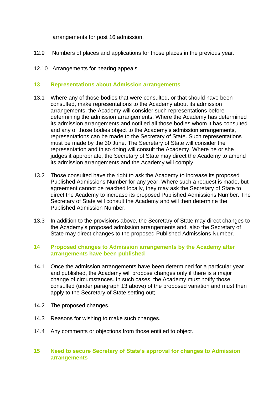arrangements for post 16 admission.

- 12.9 Numbers of places and applications for those places in the previous year.
- 12.10 Arrangements for hearing appeals.

#### **13 Representations about Admission arrangements**

- 13.1 Where any of those bodies that were consulted, or that should have been consulted, make representations to the Academy about its admission arrangements, the Academy will consider such representations before determining the admission arrangements. Where the Academy has determined its admission arrangements and notified all those bodies whom it has consulted and any of those bodies object to the Academy's admission arrangements, representations can be made to the Secretary of State. Such representations must be made by the 30 June. The Secretary of State will consider the representation and in so doing will consult the Academy. Where he or she judges it appropriate, the Secretary of State may direct the Academy to amend its admission arrangements and the Academy will comply.
- 13.2 Those consulted have the right to ask the Academy to increase its proposed Published Admissions Number for any year. Where such a request is made, but agreement cannot be reached locally, they may ask the Secretary of State to direct the Academy to increase its proposed Published Admissions Number. The Secretary of State will consult the Academy and will then determine the Published Admission Number.
- 13.3 In addition to the provisions above, the Secretary of State may direct changes to the Academy's proposed admission arrangements and, also the Secretary of State may direct changes to the proposed Published Admissions Number.

## **14 Proposed changes to Admission arrangements by the Academy after arrangements have been published**

- 14.1 Once the admission arrangements have been determined for a particular year and published, the Academy will propose changes only if there is a major change of circumstances. In such cases, the Academy must notify those consulted (under paragraph 13 above) of the proposed variation and must then apply to the Secretary of State setting out;
- 14.2 The proposed changes.
- 14.3 Reasons for wishing to make such changes.
- 14.4 Any comments or objections from those entitled to object.

## **15 Need to secure Secretary of State's approval for changes to Admission arrangements**